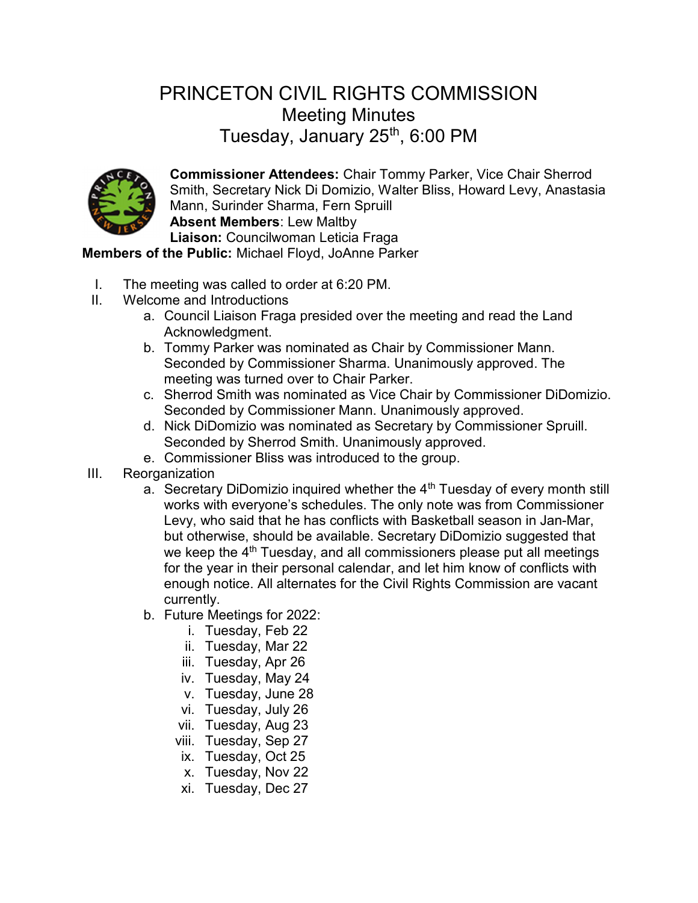## PRINCETON CIVIL RIGHTS COMMISSION Meeting Minutes Tuesday, January  $25<sup>th</sup>$ , 6:00 PM



Commissioner Attendees: Chair Tommy Parker, Vice Chair Sherrod Smith, Secretary Nick Di Domizio, Walter Bliss, Howard Levy, Anastasia Mann, Surinder Sharma, Fern Spruill Absent Members: Lew Maltby Liaison: Councilwoman Leticia Fraga

Members of the Public: Michael Floyd, JoAnne Parker

- I. The meeting was called to order at 6:20 PM.
- II. Welcome and Introductions
	- a. Council Liaison Fraga presided over the meeting and read the Land Acknowledgment.
	- b. Tommy Parker was nominated as Chair by Commissioner Mann. Seconded by Commissioner Sharma. Unanimously approved. The meeting was turned over to Chair Parker.
	- c. Sherrod Smith was nominated as Vice Chair by Commissioner DiDomizio. Seconded by Commissioner Mann. Unanimously approved.
	- d. Nick DiDomizio was nominated as Secretary by Commissioner Spruill. Seconded by Sherrod Smith. Unanimously approved.
	- e. Commissioner Bliss was introduced to the group.
- III. Reorganization
	- a. Secretary DiDomizio inquired whether the  $4<sup>th</sup>$  Tuesday of every month still works with everyone's schedules. The only note was from Commissioner Levy, who said that he has conflicts with Basketball season in Jan-Mar, but otherwise, should be available. Secretary DiDomizio suggested that we keep the  $4<sup>th</sup>$  Tuesday, and all commissioners please put all meetings for the year in their personal calendar, and let him know of conflicts with enough notice. All alternates for the Civil Rights Commission are vacant currently.
	- b. Future Meetings for 2022:
		- i. Tuesday, Feb 22
		- ii. Tuesday, Mar 22
		- iii. Tuesday, Apr 26
		- iv. Tuesday, May 24
		- v. Tuesday, June 28
		- vi. Tuesday, July 26
		- vii. Tuesday, Aug 23
		- viii. Tuesday, Sep 27
		- ix. Tuesday, Oct 25
		- x. Tuesday, Nov 22
		- xi. Tuesday, Dec 27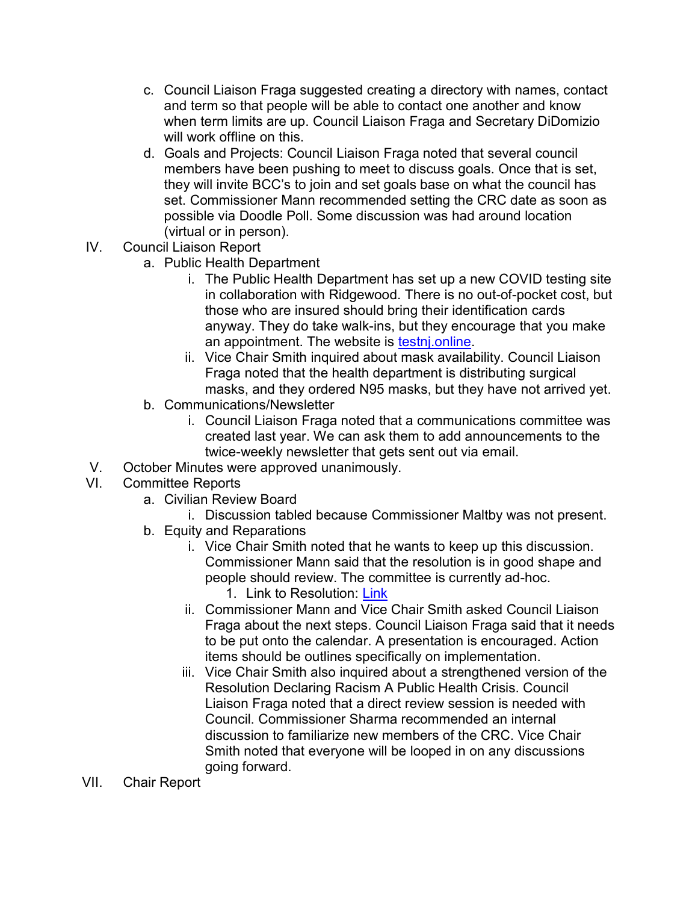- c. Council Liaison Fraga suggested creating a directory with names, contact and term so that people will be able to contact one another and know when term limits are up. Council Liaison Fraga and Secretary DiDomizio will work offline on this.
- d. Goals and Projects: Council Liaison Fraga noted that several council members have been pushing to meet to discuss goals. Once that is set, they will invite BCC's to join and set goals base on what the council has set. Commissioner Mann recommended setting the CRC date as soon as possible via Doodle Poll. Some discussion was had around location (virtual or in person).
- IV. Council Liaison Report
	- a. Public Health Department
		- i. The Public Health Department has set up a new COVID testing site in collaboration with Ridgewood. There is no out-of-pocket cost, but those who are insured should bring their identification cards anyway. They do take walk-ins, but they encourage that you make an appointment. The website is testnj.online.
		- ii. Vice Chair Smith inquired about mask availability. Council Liaison Fraga noted that the health department is distributing surgical masks, and they ordered N95 masks, but they have not arrived yet.
	- b. Communications/Newsletter
		- i. Council Liaison Fraga noted that a communications committee was created last year. We can ask them to add announcements to the twice-weekly newsletter that gets sent out via email.
- V. October Minutes were approved unanimously.
- VI. Committee Reports
	- a. Civilian Review Board
		- i. Discussion tabled because Commissioner Maltby was not present.
	- b. Equity and Reparations
		- i. Vice Chair Smith noted that he wants to keep up this discussion. Commissioner Mann said that the resolution is in good shape and people should review. The committee is currently ad-hoc.
			- 1. Link to Resolution: Link
		- ii. Commissioner Mann and Vice Chair Smith asked Council Liaison Fraga about the next steps. Council Liaison Fraga said that it needs to be put onto the calendar. A presentation is encouraged. Action items should be outlines specifically on implementation.
		- iii. Vice Chair Smith also inquired about a strengthened version of the Resolution Declaring Racism A Public Health Crisis. Council Liaison Fraga noted that a direct review session is needed with Council. Commissioner Sharma recommended an internal discussion to familiarize new members of the CRC. Vice Chair Smith noted that everyone will be looped in on any discussions going forward.
- VII. Chair Report